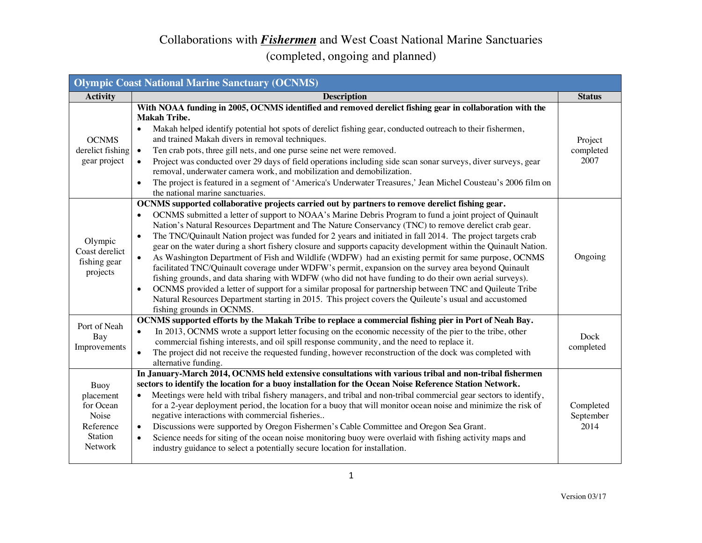| <b>Olympic Coast National Marine Sanctuary (OCNMS)</b>                            |                                                                                                                                                                                                                                                                                                                                                                                                                                                                                                                                                                                                                                                                                                                                                                                                                                                                                                                                                                                                                                                                                                                                                                                    |                                |
|-----------------------------------------------------------------------------------|------------------------------------------------------------------------------------------------------------------------------------------------------------------------------------------------------------------------------------------------------------------------------------------------------------------------------------------------------------------------------------------------------------------------------------------------------------------------------------------------------------------------------------------------------------------------------------------------------------------------------------------------------------------------------------------------------------------------------------------------------------------------------------------------------------------------------------------------------------------------------------------------------------------------------------------------------------------------------------------------------------------------------------------------------------------------------------------------------------------------------------------------------------------------------------|--------------------------------|
| <b>Activity</b>                                                                   | <b>Description</b>                                                                                                                                                                                                                                                                                                                                                                                                                                                                                                                                                                                                                                                                                                                                                                                                                                                                                                                                                                                                                                                                                                                                                                 | <b>Status</b>                  |
| <b>OCNMS</b><br>derelict fishing<br>gear project                                  | With NOAA funding in 2005, OCNMS identified and removed derelict fishing gear in collaboration with the<br><b>Makah Tribe.</b><br>Makah helped identify potential hot spots of derelict fishing gear, conducted outreach to their fishermen,<br>$\bullet$<br>and trained Makah divers in removal techniques.<br>Ten crab pots, three gill nets, and one purse seine net were removed.<br>$\bullet$<br>Project was conducted over 29 days of field operations including side scan sonar surveys, diver surveys, gear<br>removal, underwater camera work, and mobilization and demobilization.<br>The project is featured in a segment of 'America's Underwater Treasures,' Jean Michel Cousteau's 2006 film on<br>$\bullet$<br>the national marine sanctuaries.                                                                                                                                                                                                                                                                                                                                                                                                                     | Project<br>completed<br>2007   |
| Olympic<br>Coast derelict<br>fishing gear<br>projects                             | OCNMS supported collaborative projects carried out by partners to remove derelict fishing gear.<br>OCNMS submitted a letter of support to NOAA's Marine Debris Program to fund a joint project of Quinault<br>$\bullet$<br>Nation's Natural Resources Department and The Nature Conservancy (TNC) to remove derelict crab gear.<br>The TNC/Quinault Nation project was funded for 2 years and initiated in fall 2014. The project targets crab<br>$\bullet$<br>gear on the water during a short fishery closure and supports capacity development within the Quinault Nation.<br>As Washington Department of Fish and Wildlife (WDFW) had an existing permit for same purpose, OCNMS<br>$\bullet$<br>facilitated TNC/Quinault coverage under WDFW's permit, expansion on the survey area beyond Quinault<br>fishing grounds, and data sharing with WDFW (who did not have funding to do their own aerial surveys).<br>OCNMS provided a letter of support for a similar proposal for partnership between TNC and Quileute Tribe<br>$\bullet$<br>Natural Resources Department starting in 2015. This project covers the Quileute's usual and accustomed<br>fishing grounds in OCNMS. | Ongoing                        |
| Port of Neah<br>Bay<br>Improvements                                               | OCNMS supported efforts by the Makah Tribe to replace a commercial fishing pier in Port of Neah Bay.<br>In 2013, OCNMS wrote a support letter focusing on the economic necessity of the pier to the tribe, other<br>$\bullet$<br>commercial fishing interests, and oil spill response community, and the need to replace it.<br>The project did not receive the requested funding, however reconstruction of the dock was completed with<br>$\bullet$<br>alternative funding.                                                                                                                                                                                                                                                                                                                                                                                                                                                                                                                                                                                                                                                                                                      | Dock<br>completed              |
| Buoy<br>placement<br>for Ocean<br>Noise<br>Reference<br>Station<br><b>Network</b> | In January-March 2014, OCNMS held extensive consultations with various tribal and non-tribal fishermen<br>sectors to identify the location for a buoy installation for the Ocean Noise Reference Station Network.<br>Meetings were held with tribal fishery managers, and tribal and non-tribal commercial gear sectors to identify,<br>$\bullet$<br>for a 2-year deployment period, the location for a buoy that will monitor ocean noise and minimize the risk of<br>negative interactions with commercial fisheries<br>Discussions were supported by Oregon Fishermen's Cable Committee and Oregon Sea Grant.<br>$\bullet$<br>Science needs for siting of the ocean noise monitoring buoy were overlaid with fishing activity maps and<br>$\bullet$<br>industry guidance to select a potentially secure location for installation.                                                                                                                                                                                                                                                                                                                                              | Completed<br>September<br>2014 |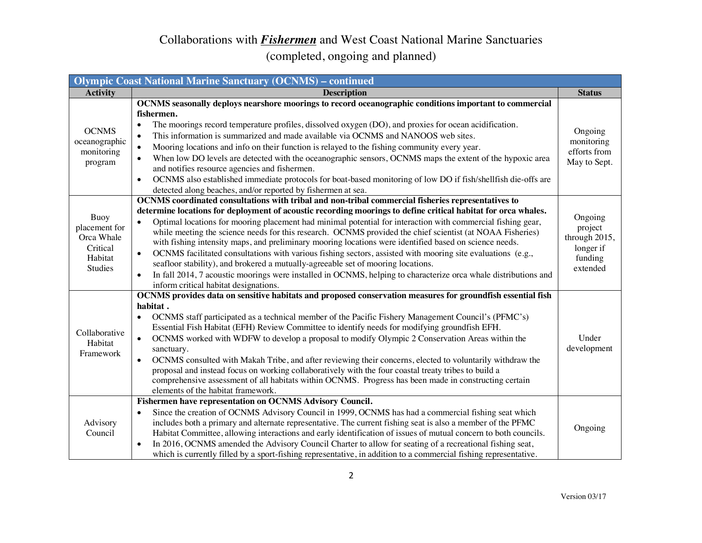| <b>Olympic Coast National Marine Sanctuary (OCNMS) - continued</b>           |                                                                                                                                                                                                                                                                                                                                                                                                                                                                                                                                                                                                                                                                                                                                                                                                                                                                                                                                                                 |                                                                         |
|------------------------------------------------------------------------------|-----------------------------------------------------------------------------------------------------------------------------------------------------------------------------------------------------------------------------------------------------------------------------------------------------------------------------------------------------------------------------------------------------------------------------------------------------------------------------------------------------------------------------------------------------------------------------------------------------------------------------------------------------------------------------------------------------------------------------------------------------------------------------------------------------------------------------------------------------------------------------------------------------------------------------------------------------------------|-------------------------------------------------------------------------|
| <b>Activity</b>                                                              | <b>Description</b>                                                                                                                                                                                                                                                                                                                                                                                                                                                                                                                                                                                                                                                                                                                                                                                                                                                                                                                                              | <b>Status</b>                                                           |
| <b>OCNMS</b><br>oceanographic<br>monitoring<br>program                       | OCNMS seasonally deploys nearshore moorings to record oceanographic conditions important to commercial<br>fishermen.<br>The moorings record temperature profiles, dissolved oxygen (DO), and proxies for ocean acidification.<br>$\bullet$<br>This information is summarized and made available via OCNMS and NANOOS web sites.<br>$\bullet$<br>Mooring locations and info on their function is relayed to the fishing community every year.<br>$\bullet$<br>When low DO levels are detected with the oceanographic sensors, OCNMS maps the extent of the hypoxic area<br>$\bullet$<br>and notifies resource agencies and fishermen.<br>OCNMS also established immediate protocols for boat-based monitoring of low DO if fish/shellfish die-offs are<br>$\bullet$<br>detected along beaches, and/or reported by fishermen at sea.                                                                                                                              | Ongoing<br>monitoring<br>efforts from<br>May to Sept.                   |
| Buoy<br>placement for<br>Orca Whale<br>Critical<br>Habitat<br><b>Studies</b> | OCNMS coordinated consultations with tribal and non-tribal commercial fisheries representatives to<br>determine locations for deployment of acoustic recording moorings to define critical habitat for orca whales.<br>Optimal locations for mooring placement had minimal potential for interaction with commercial fishing gear,<br>$\bullet$<br>while meeting the science needs for this research. OCNMS provided the chief scientist (at NOAA Fisheries)<br>with fishing intensity maps, and preliminary mooring locations were identified based on science needs.<br>OCNMS facilitated consultations with various fishing sectors, assisted with mooring site evaluations (e.g.,<br>$\bullet$<br>seafloor stability), and brokered a mutually-agreeable set of mooring locations.<br>In fall 2014, 7 acoustic moorings were installed in OCNMS, helping to characterize orca whale distributions and<br>$\bullet$<br>inform critical habitat designations. | Ongoing<br>project<br>through 2015,<br>longer if<br>funding<br>extended |
| Collaborative<br>Habitat<br>Framework                                        | OCNMS provides data on sensitive habitats and proposed conservation measures for groundfish essential fish<br>habitat.<br>OCNMS staff participated as a technical member of the Pacific Fishery Management Council's (PFMC's)<br>$\bullet$<br>Essential Fish Habitat (EFH) Review Committee to identify needs for modifying groundfish EFH.<br>OCNMS worked with WDFW to develop a proposal to modify Olympic 2 Conservation Areas within the<br>$\bullet$<br>sanctuary.<br>OCNMS consulted with Makah Tribe, and after reviewing their concerns, elected to voluntarily withdraw the<br>$\bullet$<br>proposal and instead focus on working collaboratively with the four coastal treaty tribes to build a<br>comprehensive assessment of all habitats within OCNMS. Progress has been made in constructing certain<br>elements of the habitat framework.                                                                                                       | Under<br>development                                                    |
| Advisory<br>Council                                                          | Fishermen have representation on OCNMS Advisory Council.<br>Since the creation of OCNMS Advisory Council in 1999, OCNMS has had a commercial fishing seat which<br>$\bullet$<br>includes both a primary and alternate representative. The current fishing seat is also a member of the PFMC<br>Habitat Committee, allowing interactions and early identification of issues of mutual concern to both councils.<br>In 2016, OCNMS amended the Advisory Council Charter to allow for seating of a recreational fishing seat,<br>$\bullet$<br>which is currently filled by a sport-fishing representative, in addition to a commercial fishing representative.                                                                                                                                                                                                                                                                                                     | Ongoing                                                                 |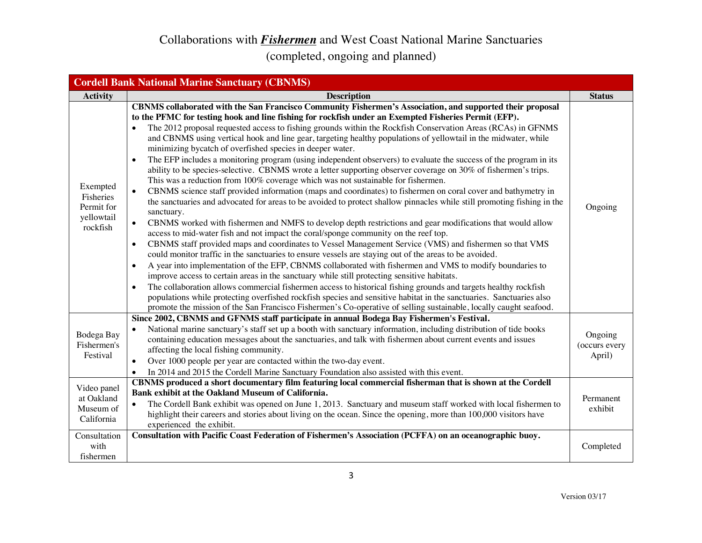#### Collaborations with *Fishermen* and West Coast National Marine Sanctuaries (completed, ongoing and planned)

|                                                                    | <b>Cordell Bank National Marine Sanctuary (CBNMS)</b>                                                                                                                                                                                                                                                                                                                                                                                                                                                                                                                                                                                                                                                                                                                                                                                                                                                                                                                                                                                                                                                                                                                                                                                                                                                                                                                                                                                                                                                                                                                                                                                                                                                                                                                                                                                                                                                                                                                                                                                                                                                                                                                                                 |                                                 |
|--------------------------------------------------------------------|-------------------------------------------------------------------------------------------------------------------------------------------------------------------------------------------------------------------------------------------------------------------------------------------------------------------------------------------------------------------------------------------------------------------------------------------------------------------------------------------------------------------------------------------------------------------------------------------------------------------------------------------------------------------------------------------------------------------------------------------------------------------------------------------------------------------------------------------------------------------------------------------------------------------------------------------------------------------------------------------------------------------------------------------------------------------------------------------------------------------------------------------------------------------------------------------------------------------------------------------------------------------------------------------------------------------------------------------------------------------------------------------------------------------------------------------------------------------------------------------------------------------------------------------------------------------------------------------------------------------------------------------------------------------------------------------------------------------------------------------------------------------------------------------------------------------------------------------------------------------------------------------------------------------------------------------------------------------------------------------------------------------------------------------------------------------------------------------------------------------------------------------------------------------------------------------------------|-------------------------------------------------|
| <b>Activity</b>                                                    | <b>Description</b>                                                                                                                                                                                                                                                                                                                                                                                                                                                                                                                                                                                                                                                                                                                                                                                                                                                                                                                                                                                                                                                                                                                                                                                                                                                                                                                                                                                                                                                                                                                                                                                                                                                                                                                                                                                                                                                                                                                                                                                                                                                                                                                                                                                    | <b>Status</b>                                   |
| Exempted<br>Fisheries<br>Permit for<br>yellowtail<br>rockfish      | CBNMS collaborated with the San Francisco Community Fishermen's Association, and supported their proposal<br>to the PFMC for testing hook and line fishing for rockfish under an Exempted Fisheries Permit (EFP).<br>The 2012 proposal requested access to fishing grounds within the Rockfish Conservation Areas (RCAs) in GFNMS<br>$\bullet$<br>and CBNMS using vertical hook and line gear, targeting healthy populations of yellowtail in the midwater, while<br>minimizing bycatch of overfished species in deeper water.<br>The EFP includes a monitoring program (using independent observers) to evaluate the success of the program in its<br>$\bullet$<br>ability to be species-selective. CBNMS wrote a letter supporting observer coverage on 30% of fishermen's trips.<br>This was a reduction from 100% coverage which was not sustainable for fishermen.<br>CBNMS science staff provided information (maps and coordinates) to fishermen on coral cover and bathymetry in<br>$\bullet$<br>the sanctuaries and advocated for areas to be avoided to protect shallow pinnacles while still promoting fishing in the<br>sanctuary.<br>CBNMS worked with fishermen and NMFS to develop depth restrictions and gear modifications that would allow<br>$\bullet$<br>access to mid-water fish and not impact the coral/sponge community on the reef top.<br>CBNMS staff provided maps and coordinates to Vessel Management Service (VMS) and fishermen so that VMS<br>$\bullet$<br>could monitor traffic in the sanctuaries to ensure vessels are staying out of the areas to be avoided.<br>A year into implementation of the EFP, CBNMS collaborated with fishermen and VMS to modify boundaries to<br>$\bullet$<br>improve access to certain areas in the sanctuary while still protecting sensitive habitats.<br>The collaboration allows commercial fishermen access to historical fishing grounds and targets healthy rockfish<br>$\bullet$<br>populations while protecting overfished rockfish species and sensitive habitat in the sanctuaries. Sanctuaries also<br>promote the mission of the San Francisco Fishermen's Co-operative of selling sustainable, locally caught seafood. | Ongoing                                         |
| Bodega Bay<br>Fishermen's<br>Festival<br>Video panel<br>at Oakland | Since 2002, CBNMS and GFNMS staff participate in annual Bodega Bay Fishermen's Festival.<br>National marine sanctuary's staff set up a booth with sanctuary information, including distribution of tide books<br>containing education messages about the sanctuaries, and talk with fishermen about current events and issues<br>affecting the local fishing community.<br>Over 1000 people per year are contacted within the two-day event.<br>$\bullet$<br>In 2014 and 2015 the Cordell Marine Sanctuary Foundation also assisted with this event.<br>$\bullet$<br>CBNMS produced a short documentary film featuring local commercial fisherman that is shown at the Cordell<br>Bank exhibit at the Oakland Museum of California.                                                                                                                                                                                                                                                                                                                                                                                                                                                                                                                                                                                                                                                                                                                                                                                                                                                                                                                                                                                                                                                                                                                                                                                                                                                                                                                                                                                                                                                                   | Ongoing<br>(occurs every<br>April)<br>Permanent |
| Museum of<br>California<br>Consultation<br>with<br>fishermen       | The Cordell Bank exhibit was opened on June 1, 2013. Sanctuary and museum staff worked with local fishermen to<br>$\bullet$<br>highlight their careers and stories about living on the ocean. Since the opening, more than 100,000 visitors have<br>experienced the exhibit.<br>Consultation with Pacific Coast Federation of Fishermen's Association (PCFFA) on an oceanographic buoy.                                                                                                                                                                                                                                                                                                                                                                                                                                                                                                                                                                                                                                                                                                                                                                                                                                                                                                                                                                                                                                                                                                                                                                                                                                                                                                                                                                                                                                                                                                                                                                                                                                                                                                                                                                                                               | exhibit<br>Completed                            |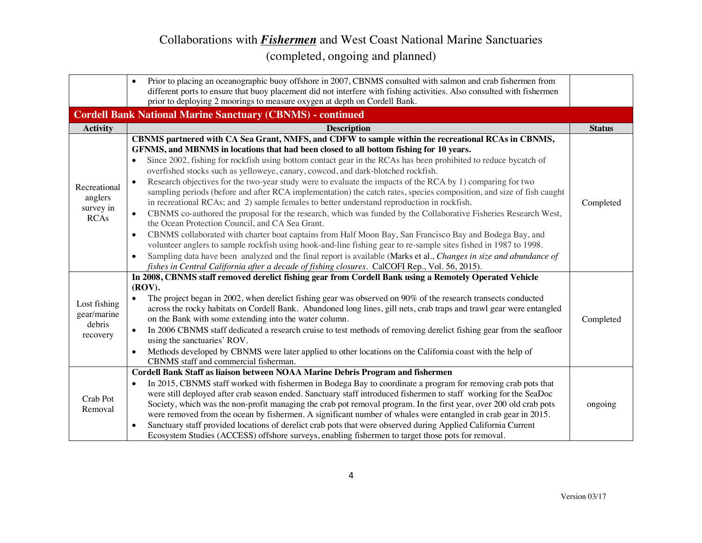|                                                     | Prior to placing an oceanographic buoy offshore in 2007, CBNMS consulted with salmon and crab fishermen from<br>$\bullet$<br>different ports to ensure that buoy placement did not interfere with fishing activities. Also consulted with fishermen                                                                                                                                                                                                                                                                                                                                                                                                                                                                                                                                                                                                                                                                                                                                                                                                                                                                                                                                                                                                                                                                                                                                                         |               |
|-----------------------------------------------------|-------------------------------------------------------------------------------------------------------------------------------------------------------------------------------------------------------------------------------------------------------------------------------------------------------------------------------------------------------------------------------------------------------------------------------------------------------------------------------------------------------------------------------------------------------------------------------------------------------------------------------------------------------------------------------------------------------------------------------------------------------------------------------------------------------------------------------------------------------------------------------------------------------------------------------------------------------------------------------------------------------------------------------------------------------------------------------------------------------------------------------------------------------------------------------------------------------------------------------------------------------------------------------------------------------------------------------------------------------------------------------------------------------------|---------------|
|                                                     | prior to deploying 2 moorings to measure oxygen at depth on Cordell Bank.                                                                                                                                                                                                                                                                                                                                                                                                                                                                                                                                                                                                                                                                                                                                                                                                                                                                                                                                                                                                                                                                                                                                                                                                                                                                                                                                   |               |
|                                                     | <b>Cordell Bank National Marine Sanctuary (CBNMS) - continued</b>                                                                                                                                                                                                                                                                                                                                                                                                                                                                                                                                                                                                                                                                                                                                                                                                                                                                                                                                                                                                                                                                                                                                                                                                                                                                                                                                           |               |
| <b>Activity</b>                                     | <b>Description</b>                                                                                                                                                                                                                                                                                                                                                                                                                                                                                                                                                                                                                                                                                                                                                                                                                                                                                                                                                                                                                                                                                                                                                                                                                                                                                                                                                                                          | <b>Status</b> |
| Recreational<br>anglers<br>survey in<br><b>RCAs</b> | CBNMS partnered with CA Sea Grant, NMFS, and CDFW to sample within the recreational RCAs in CBNMS,<br>GFNMS, and MBNMS in locations that had been closed to all bottom fishing for 10 years.<br>Since 2002, fishing for rockfish using bottom contact gear in the RCAs has been prohibited to reduce bycatch of<br>overfished stocks such as yelloweye, canary, cowcod, and dark-blotched rockfish.<br>Research objectives for the two-year study were to evaluate the impacts of the RCA by 1) comparing for two<br>sampling periods (before and after RCA implementation) the catch rates, species composition, and size of fish caught<br>in recreational RCAs; and 2) sample females to better understand reproduction in rockfish.<br>CBNMS co-authored the proposal for the research, which was funded by the Collaborative Fisheries Research West,<br>$\bullet$<br>the Ocean Protection Council, and CA Sea Grant.<br>CBNMS collaborated with charter boat captains from Half Moon Bay, San Francisco Bay and Bodega Bay, and<br>$\bullet$<br>volunteer anglers to sample rockfish using hook-and-line fishing gear to re-sample sites fished in 1987 to 1998.<br>Sampling data have been analyzed and the final report is available (Marks et al., Changes in size and abundance of<br>$\bullet$<br>fishes in Central California after a decade of fishing closures. CalCOFI Rep., Vol. 56, 2015). | Completed     |
| Lost fishing<br>gear/marine<br>debris<br>recovery   | In 2008, CBNMS staff removed derelict fishing gear from Cordell Bank using a Remotely Operated Vehicle<br>(ROV).<br>The project began in 2002, when derelict fishing gear was observed on 90% of the research transects conducted<br>across the rocky habitats on Cordell Bank. Abandoned long lines, gill nets, crab traps and trawl gear were entangled<br>on the Bank with some extending into the water column.<br>In 2006 CBNMS staff dedicated a research cruise to test methods of removing derelict fishing gear from the seafloor<br>$\bullet$<br>using the sanctuaries' ROV.<br>Methods developed by CBNMS were later applied to other locations on the California coast with the help of<br>$\bullet$<br>CBNMS staff and commercial fisherman.                                                                                                                                                                                                                                                                                                                                                                                                                                                                                                                                                                                                                                                   | Completed     |
| Crab Pot<br>Removal                                 | Cordell Bank Staff as liaison between NOAA Marine Debris Program and fishermen<br>In 2015, CBNMS staff worked with fishermen in Bodega Bay to coordinate a program for removing crab pots that<br>were still deployed after crab season ended. Sanctuary staff introduced fishermen to staff working for the SeaDoc<br>Society, which was the non-profit managing the crab pot removal program. In the first year, over 200 old crab pots<br>were removed from the ocean by fishermen. A significant number of whales were entangled in crab gear in 2015.<br>Sanctuary staff provided locations of derelict crab pots that were observed during Applied California Current<br>$\bullet$<br>Ecosystem Studies (ACCESS) offshore surveys, enabling fishermen to target those pots for removal.                                                                                                                                                                                                                                                                                                                                                                                                                                                                                                                                                                                                               | ongoing       |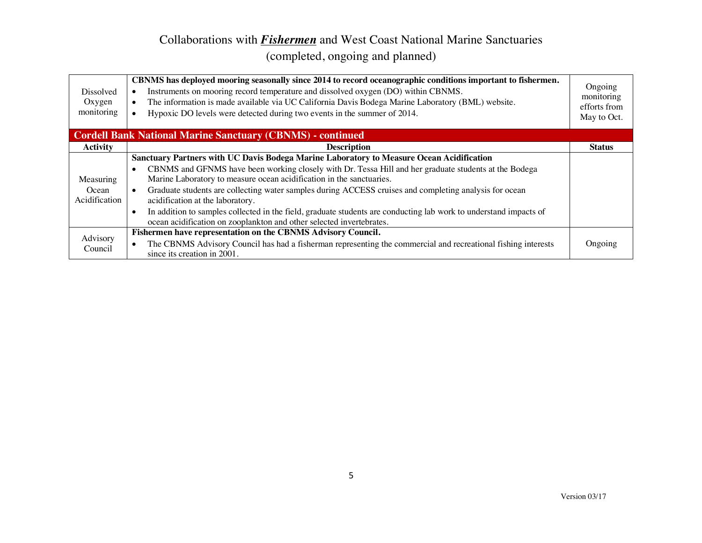| <b>Dissolved</b><br>Oxygen<br>monitoring | CBNMS has deployed mooring seasonally since 2014 to record oceanographic conditions important to fishermen.<br>Instruments on mooring record temperature and dissolved oxygen (DO) within CBNMS.<br>The information is made available via UC California Davis Bodega Marine Laboratory (BML) website.<br>$\bullet$<br>Hypoxic DO levels were detected during two events in the summer of 2014. | Ongoing<br>monitoring<br>efforts from<br>May to Oct. |
|------------------------------------------|------------------------------------------------------------------------------------------------------------------------------------------------------------------------------------------------------------------------------------------------------------------------------------------------------------------------------------------------------------------------------------------------|------------------------------------------------------|
|                                          | <b>Cordell Bank National Marine Sanctuary (CBNMS) - continued</b>                                                                                                                                                                                                                                                                                                                              |                                                      |
| <b>Activity</b>                          | <b>Description</b>                                                                                                                                                                                                                                                                                                                                                                             | <b>Status</b>                                        |
|                                          | Sanctuary Partners with UC Davis Bodega Marine Laboratory to Measure Ocean Acidification                                                                                                                                                                                                                                                                                                       |                                                      |
|                                          | CBNMS and GFNMS have been working closely with Dr. Tessa Hill and her graduate students at the Bodega<br>$\bullet$                                                                                                                                                                                                                                                                             |                                                      |
| Measuring                                | Marine Laboratory to measure ocean acidification in the sanctuaries.                                                                                                                                                                                                                                                                                                                           |                                                      |
| Ocean<br>Acidification                   | Graduate students are collecting water samples during ACCESS cruises and completing analysis for ocean<br>$\bullet$                                                                                                                                                                                                                                                                            |                                                      |
|                                          | acidification at the laboratory.                                                                                                                                                                                                                                                                                                                                                               |                                                      |
|                                          | In addition to samples collected in the field, graduate students are conducting lab work to understand impacts of<br>$\bullet$                                                                                                                                                                                                                                                                 |                                                      |
|                                          | ocean acidification on zooplankton and other selected invertebrates.                                                                                                                                                                                                                                                                                                                           |                                                      |
| Advisory                                 | Fishermen have representation on the CBNMS Advisory Council.                                                                                                                                                                                                                                                                                                                                   |                                                      |
| Council                                  | The CBNMS Advisory Council has had a fisherman representing the commercial and recreational fishing interests                                                                                                                                                                                                                                                                                  | Ongoing                                              |
|                                          | since its creation in 2001.                                                                                                                                                                                                                                                                                                                                                                    |                                                      |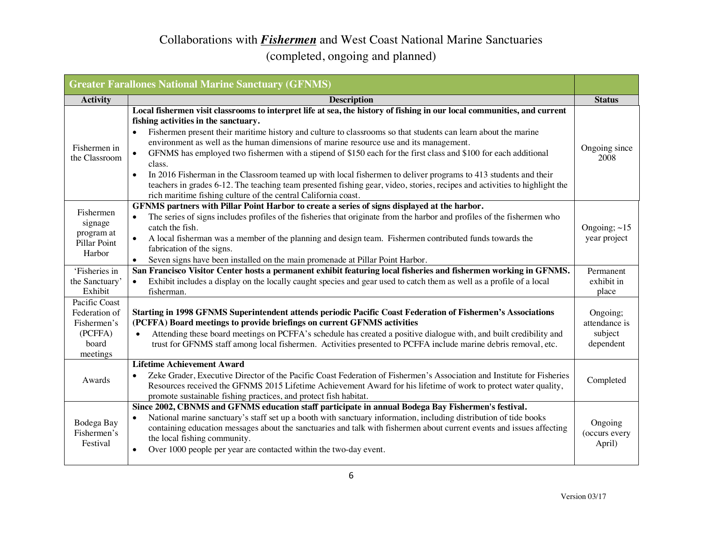|                                                                               | <b>Greater Farallones National Marine Sanctuary (GFNMS)</b>                                                                                                                                                                                                                                                                                                                                                                                                                                                                                                                                                                                                                                                                                                                                                                              |                                                   |
|-------------------------------------------------------------------------------|------------------------------------------------------------------------------------------------------------------------------------------------------------------------------------------------------------------------------------------------------------------------------------------------------------------------------------------------------------------------------------------------------------------------------------------------------------------------------------------------------------------------------------------------------------------------------------------------------------------------------------------------------------------------------------------------------------------------------------------------------------------------------------------------------------------------------------------|---------------------------------------------------|
| <b>Activity</b>                                                               | <b>Description</b>                                                                                                                                                                                                                                                                                                                                                                                                                                                                                                                                                                                                                                                                                                                                                                                                                       | <b>Status</b>                                     |
| Fishermen in<br>the Classroom                                                 | Local fishermen visit classrooms to interpret life at sea, the history of fishing in our local communities, and current<br>fishing activities in the sanctuary.<br>Fishermen present their maritime history and culture to classrooms so that students can learn about the marine<br>environment as well as the human dimensions of marine resource use and its management.<br>GFNMS has employed two fishermen with a stipend of \$150 each for the first class and \$100 for each additional<br>class.<br>In 2016 Fisherman in the Classroom teamed up with local fishermen to deliver programs to 413 students and their<br>$\bullet$<br>teachers in grades 6-12. The teaching team presented fishing gear, video, stories, recipes and activities to highlight the<br>rich maritime fishing culture of the central California coast. | Ongoing since<br>2008                             |
| Fishermen<br>signage<br>program at<br>Pillar Point<br>Harbor                  | GFNMS partners with Pillar Point Harbor to create a series of signs displayed at the harbor.<br>The series of signs includes profiles of the fisheries that originate from the harbor and profiles of the fishermen who<br>$\bullet$<br>catch the fish.<br>A local fisherman was a member of the planning and design team. Fishermen contributed funds towards the<br>$\bullet$<br>fabrication of the signs.<br>Seven signs have been installed on the main promenade at Pillar Point Harbor.                                                                                                                                                                                                                                                                                                                                            | Ongoing; $\sim$ 15<br>year project                |
| 'Fisheries in<br>the Sanctuary'                                               | San Francisco Visitor Center hosts a permanent exhibit featuring local fisheries and fishermen working in GFNMS.<br>Exhibit includes a display on the locally caught species and gear used to catch them as well as a profile of a local                                                                                                                                                                                                                                                                                                                                                                                                                                                                                                                                                                                                 | Permanent<br>exhibit in                           |
| Exhibit                                                                       | fisherman.                                                                                                                                                                                                                                                                                                                                                                                                                                                                                                                                                                                                                                                                                                                                                                                                                               | place                                             |
| Pacific Coast<br>Federation of<br>Fishermen's<br>(PCFFA)<br>board<br>meetings | Starting in 1998 GFNMS Superintendent attends periodic Pacific Coast Federation of Fishermen's Associations<br>(PCFFA) Board meetings to provide briefings on current GFNMS activities<br>Attending these board meetings on PCFFA's schedule has created a positive dialogue with, and built credibility and<br>trust for GFNMS staff among local fishermen. Activities presented to PCFFA include marine debris removal, etc.                                                                                                                                                                                                                                                                                                                                                                                                           | Ongoing;<br>attendance is<br>subject<br>dependent |
| Awards                                                                        | <b>Lifetime Achievement Award</b><br>Zeke Grader, Executive Director of the Pacific Coast Federation of Fishermen's Association and Institute for Fisheries<br>Resources received the GFNMS 2015 Lifetime Achievement Award for his lifetime of work to protect water quality,<br>promote sustainable fishing practices, and protect fish habitat.                                                                                                                                                                                                                                                                                                                                                                                                                                                                                       | Completed                                         |
| Bodega Bay<br>Fishermen's<br>Festival                                         | Since 2002, CBNMS and GFNMS education staff participate in annual Bodega Bay Fishermen's festival.<br>National marine sanctuary's staff set up a booth with sanctuary information, including distribution of tide books<br>$\bullet$<br>containing education messages about the sanctuaries and talk with fishermen about current events and issues affecting<br>the local fishing community.<br>Over 1000 people per year are contacted within the two-day event.<br>٠                                                                                                                                                                                                                                                                                                                                                                  | Ongoing<br>(occurs every<br>April)                |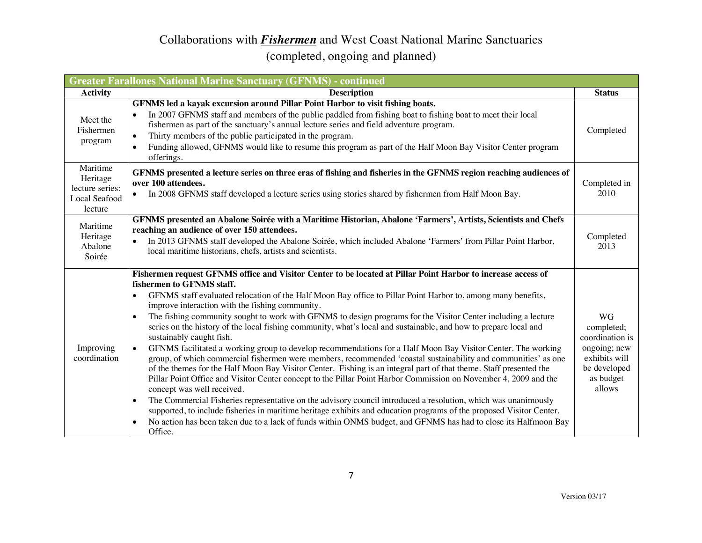| <b>Greater Farallones National Marine Sanctuary (GFNMS) - continued</b> |                                                                                                                                                                                                                                                                                                                                                                                                                                                                                                                                                                                                                                                                                                                                                                                                                                                                                                                                                                                                                                                                                                                                                                                                                                                                                                                                                                                                                                                                                                |                                                                                                                    |
|-------------------------------------------------------------------------|------------------------------------------------------------------------------------------------------------------------------------------------------------------------------------------------------------------------------------------------------------------------------------------------------------------------------------------------------------------------------------------------------------------------------------------------------------------------------------------------------------------------------------------------------------------------------------------------------------------------------------------------------------------------------------------------------------------------------------------------------------------------------------------------------------------------------------------------------------------------------------------------------------------------------------------------------------------------------------------------------------------------------------------------------------------------------------------------------------------------------------------------------------------------------------------------------------------------------------------------------------------------------------------------------------------------------------------------------------------------------------------------------------------------------------------------------------------------------------------------|--------------------------------------------------------------------------------------------------------------------|
| <b>Activity</b>                                                         | <b>Description</b>                                                                                                                                                                                                                                                                                                                                                                                                                                                                                                                                                                                                                                                                                                                                                                                                                                                                                                                                                                                                                                                                                                                                                                                                                                                                                                                                                                                                                                                                             | <b>Status</b>                                                                                                      |
| Meet the<br>Fishermen<br>program                                        | GFNMS led a kayak excursion around Pillar Point Harbor to visit fishing boats.<br>In 2007 GFNMS staff and members of the public paddled from fishing boat to fishing boat to meet their local<br>$\bullet$<br>fishermen as part of the sanctuary's annual lecture series and field adventure program.<br>Thirty members of the public participated in the program.<br>$\bullet$<br>Funding allowed, GFNMS would like to resume this program as part of the Half Moon Bay Visitor Center program<br>offerings.                                                                                                                                                                                                                                                                                                                                                                                                                                                                                                                                                                                                                                                                                                                                                                                                                                                                                                                                                                                  | Completed                                                                                                          |
| Maritime<br>Heritage<br>lecture series:<br>Local Seafood<br>lecture     | GFNMS presented a lecture series on three eras of fishing and fisheries in the GFNMS region reaching audiences of<br>over 100 attendees.<br>In 2008 GFNMS staff developed a lecture series using stories shared by fishermen from Half Moon Bay.                                                                                                                                                                                                                                                                                                                                                                                                                                                                                                                                                                                                                                                                                                                                                                                                                                                                                                                                                                                                                                                                                                                                                                                                                                               | Completed in<br>2010                                                                                               |
| Maritime<br>Heritage<br>Abalone<br>Soirée                               | GFNMS presented an Abalone Soirée with a Maritime Historian, Abalone 'Farmers', Artists, Scientists and Chefs<br>reaching an audience of over 150 attendees.<br>In 2013 GFNMS staff developed the Abalone Soirée, which included Abalone 'Farmers' from Pillar Point Harbor,<br>$\bullet$<br>local maritime historians, chefs, artists and scientists.                                                                                                                                                                                                                                                                                                                                                                                                                                                                                                                                                                                                                                                                                                                                                                                                                                                                                                                                                                                                                                                                                                                                         | Completed<br>2013                                                                                                  |
| Improving<br>coordination                                               | Fishermen request GFNMS office and Visitor Center to be located at Pillar Point Harbor to increase access of<br>fishermen to GFNMS staff.<br>GFNMS staff evaluated relocation of the Half Moon Bay office to Pillar Point Harbor to, among many benefits,<br>$\bullet$<br>improve interaction with the fishing community.<br>The fishing community sought to work with GFNMS to design programs for the Visitor Center including a lecture<br>$\bullet$<br>series on the history of the local fishing community, what's local and sustainable, and how to prepare local and<br>sustainably caught fish.<br>GFNMS facilitated a working group to develop recommendations for a Half Moon Bay Visitor Center. The working<br>group, of which commercial fishermen were members, recommended 'coastal sustainability and communities' as one<br>of the themes for the Half Moon Bay Visitor Center. Fishing is an integral part of that theme. Staff presented the<br>Pillar Point Office and Visitor Center concept to the Pillar Point Harbor Commission on November 4, 2009 and the<br>concept was well received.<br>The Commercial Fisheries representative on the advisory council introduced a resolution, which was unanimously<br>٠<br>supported, to include fisheries in maritime heritage exhibits and education programs of the proposed Visitor Center.<br>No action has been taken due to a lack of funds within ONMS budget, and GFNMS has had to close its Halfmoon Bay<br>Office. | <b>WG</b><br>completed;<br>coordination is<br>ongoing; new<br>exhibits will<br>be developed<br>as budget<br>allows |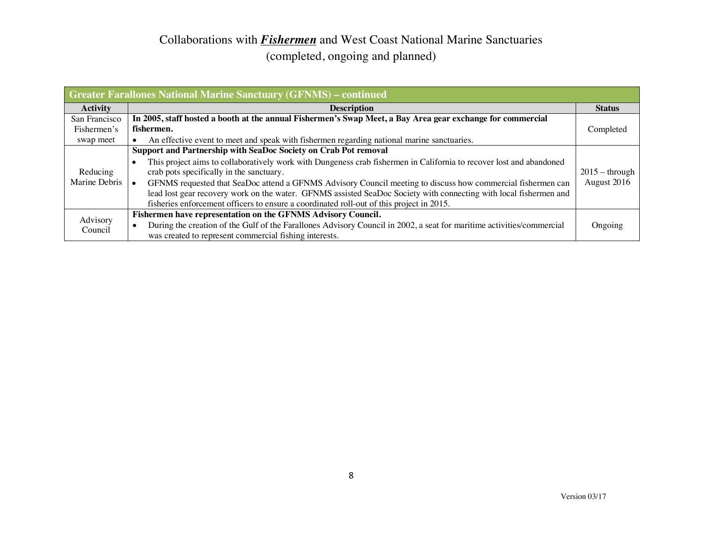| <b>Greater Farallones National Marine Sanctuary (GFNMS) – continued</b> |                                                                                                                                                                                                                                                                                                                                                                                                                                                                                                                                                                                 |                                 |
|-------------------------------------------------------------------------|---------------------------------------------------------------------------------------------------------------------------------------------------------------------------------------------------------------------------------------------------------------------------------------------------------------------------------------------------------------------------------------------------------------------------------------------------------------------------------------------------------------------------------------------------------------------------------|---------------------------------|
| <b>Activity</b>                                                         | <b>Description</b>                                                                                                                                                                                                                                                                                                                                                                                                                                                                                                                                                              | <b>Status</b>                   |
| San Francisco                                                           | In 2005, staff hosted a booth at the annual Fishermen's Swap Meet, a Bay Area gear exchange for commercial                                                                                                                                                                                                                                                                                                                                                                                                                                                                      |                                 |
| Fishermen's                                                             | fishermen.                                                                                                                                                                                                                                                                                                                                                                                                                                                                                                                                                                      | Completed                       |
| swap meet                                                               | An effective event to meet and speak with fishermen regarding national marine sanctuaries.                                                                                                                                                                                                                                                                                                                                                                                                                                                                                      |                                 |
| Reducing<br>Marine Debris                                               | Support and Partnership with SeaDoc Society on Crab Pot removal<br>This project aims to collaboratively work with Dungeness crab fishermen in California to recover lost and abandoned<br>$\bullet$<br>crab pots specifically in the sanctuary.<br>GFNMS requested that SeaDoc attend a GFNMS Advisory Council meeting to discuss how commercial fishermen can<br>lead lost gear recovery work on the water. GFNMS assisted SeaDoc Society with connecting with local fishermen and<br>fisheries enforcement officers to ensure a coordinated roll-out of this project in 2015. | $2015 -$ through<br>August 2016 |
| Advisory<br>Council                                                     | Fishermen have representation on the GFNMS Advisory Council.<br>During the creation of the Gulf of the Farallones Advisory Council in 2002, a seat for maritime activities/commercial<br>was created to represent commercial fishing interests.                                                                                                                                                                                                                                                                                                                                 | Ongoing                         |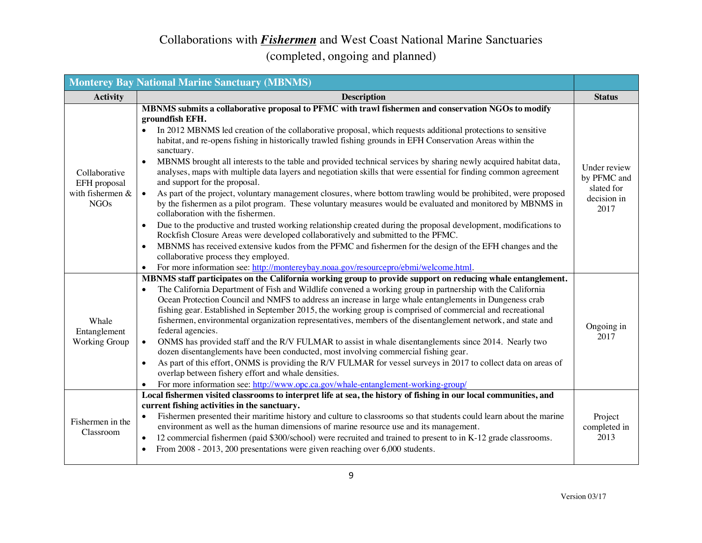|                                                                  | <b>Monterey Bay National Marine Sanctuary (MBNMS)</b>                                                                                                                                                                                                                                                                                                                                                                                                                                                                                                                                                                                                                                                                                                                                                                                                                                                                                                                                                                                                                                                                                                                                                                                                                                                                                                                                                        |                                                                  |
|------------------------------------------------------------------|--------------------------------------------------------------------------------------------------------------------------------------------------------------------------------------------------------------------------------------------------------------------------------------------------------------------------------------------------------------------------------------------------------------------------------------------------------------------------------------------------------------------------------------------------------------------------------------------------------------------------------------------------------------------------------------------------------------------------------------------------------------------------------------------------------------------------------------------------------------------------------------------------------------------------------------------------------------------------------------------------------------------------------------------------------------------------------------------------------------------------------------------------------------------------------------------------------------------------------------------------------------------------------------------------------------------------------------------------------------------------------------------------------------|------------------------------------------------------------------|
| <b>Activity</b>                                                  | <b>Description</b>                                                                                                                                                                                                                                                                                                                                                                                                                                                                                                                                                                                                                                                                                                                                                                                                                                                                                                                                                                                                                                                                                                                                                                                                                                                                                                                                                                                           | <b>Status</b>                                                    |
| Collaborative<br>EFH proposal<br>with fishermen &<br><b>NGOs</b> | MBNMS submits a collaborative proposal to PFMC with trawl fishermen and conservation NGOs to modify<br>groundfish EFH.<br>In 2012 MBNMS led creation of the collaborative proposal, which requests additional protections to sensitive<br>habitat, and re-opens fishing in historically trawled fishing grounds in EFH Conservation Areas within the<br>sanctuary.<br>MBNMS brought all interests to the table and provided technical services by sharing newly acquired habitat data,<br>analyses, maps with multiple data layers and negotiation skills that were essential for finding common agreement<br>and support for the proposal.<br>As part of the project, voluntary management closures, where bottom trawling would be prohibited, were proposed<br>$\bullet$<br>by the fishermen as a pilot program. These voluntary measures would be evaluated and monitored by MBNMS in<br>collaboration with the fishermen.<br>Due to the productive and trusted working relationship created during the proposal development, modifications to<br>$\bullet$<br>Rockfish Closure Areas were developed collaboratively and submitted to the PFMC.<br>MBNMS has received extensive kudos from the PFMC and fishermen for the design of the EFH changes and the<br>$\bullet$<br>collaborative process they employed.<br>For more information see: http://montereybay.noaa.gov/resourcepro/ebmi/welcome.html. | Under review<br>by PFMC and<br>slated for<br>decision in<br>2017 |
| Whale<br>Entanglement<br><b>Working Group</b>                    | MBNMS staff participates on the California working group to provide support on reducing whale entanglement.<br>The California Department of Fish and Wildlife convened a working group in partnership with the California<br>Ocean Protection Council and NMFS to address an increase in large whale entanglements in Dungeness crab<br>fishing gear. Established in September 2015, the working group is comprised of commercial and recreational<br>fishermen, environmental organization representatives, members of the disentanglement network, and state and<br>federal agencies.<br>ONMS has provided staff and the R/V FULMAR to assist in whale disentanglements since 2014. Nearly two<br>$\bullet$<br>dozen disentanglements have been conducted, most involving commercial fishing gear.<br>As part of this effort, ONMS is providing the R/V FULMAR for vessel surveys in 2017 to collect data on areas of<br>$\bullet$<br>overlap between fishery effort and whale densities.<br>For more information see: http://www.opc.ca.gov/whale-entanglement-working-group/                                                                                                                                                                                                                                                                                                                             | Ongoing in<br>2017                                               |
| Fishermen in the<br>Classroom                                    | Local fishermen visited classrooms to interpret life at sea, the history of fishing in our local communities, and<br>current fishing activities in the sanctuary.<br>Fishermen presented their maritime history and culture to classrooms so that students could learn about the marine<br>$\bullet$<br>environment as well as the human dimensions of marine resource use and its management.<br>12 commercial fishermen (paid \$300/school) were recruited and trained to present to in K-12 grade classrooms.<br>$\bullet$<br>From 2008 - 2013, 200 presentations were given reaching over 6,000 students.<br>$\bullet$                                                                                                                                                                                                                                                                                                                                                                                                                                                                                                                                                                                                                                                                                                                                                                                   | Project<br>completed in<br>2013                                  |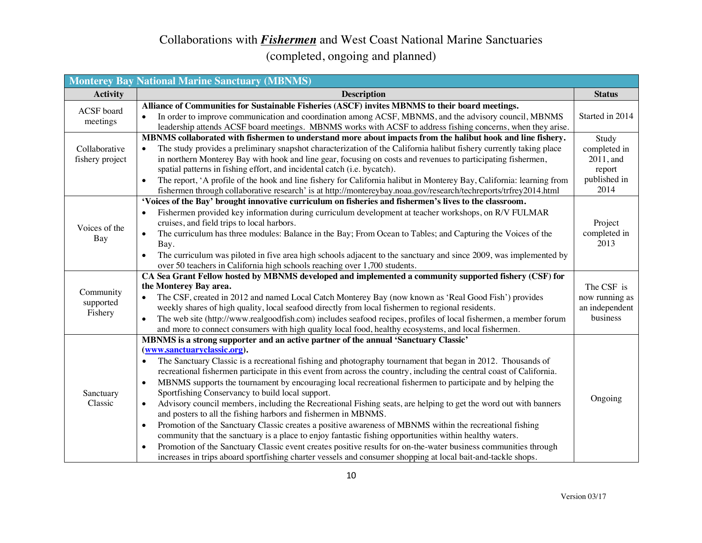#### Collaborations with *Fishermen* and West Coast National Marine Sanctuaries (completed, ongoing and planned)

|                                   | <b>Monterey Bay National Marine Sanctuary (MBNMS)</b>                                                                                                                                                                                                                                                                                                                                                                                                                                                                                                                                                                                                                                                                                                                                                                                                                                                                                                                                                                                                                                                                                                                                                                                         |                                                                      |
|-----------------------------------|-----------------------------------------------------------------------------------------------------------------------------------------------------------------------------------------------------------------------------------------------------------------------------------------------------------------------------------------------------------------------------------------------------------------------------------------------------------------------------------------------------------------------------------------------------------------------------------------------------------------------------------------------------------------------------------------------------------------------------------------------------------------------------------------------------------------------------------------------------------------------------------------------------------------------------------------------------------------------------------------------------------------------------------------------------------------------------------------------------------------------------------------------------------------------------------------------------------------------------------------------|----------------------------------------------------------------------|
| <b>Activity</b>                   | <b>Description</b>                                                                                                                                                                                                                                                                                                                                                                                                                                                                                                                                                                                                                                                                                                                                                                                                                                                                                                                                                                                                                                                                                                                                                                                                                            | <b>Status</b>                                                        |
| ACSF board<br>meetings            | Alliance of Communities for Sustainable Fisheries (ASCF) invites MBNMS to their board meetings.<br>In order to improve communication and coordination among ACSF, MBNMS, and the advisory council, MBNMS<br>$\bullet$<br>leadership attends ACSF board meetings. MBNMS works with ACSF to address fishing concerns, when they arise.                                                                                                                                                                                                                                                                                                                                                                                                                                                                                                                                                                                                                                                                                                                                                                                                                                                                                                          | Started in 2014                                                      |
| Collaborative<br>fishery project  | MBNMS collaborated with fishermen to understand more about impacts from the halibut hook and line fishery.<br>The study provides a preliminary snapshot characterization of the California halibut fishery currently taking place<br>$\bullet$<br>in northern Monterey Bay with hook and line gear, focusing on costs and revenues to participating fishermen,<br>spatial patterns in fishing effort, and incidental catch (i.e. bycatch).<br>The report, 'A profile of the hook and line fishery for California halibut in Monterey Bay, California: learning from<br>$\bullet$<br>fishermen through collaborative research' is at http://montereybay.noaa.gov/research/techreports/trfrey2014.html                                                                                                                                                                                                                                                                                                                                                                                                                                                                                                                                          | Study<br>completed in<br>2011, and<br>report<br>published in<br>2014 |
| Voices of the<br>Bay              | 'Voices of the Bay' brought innovative curriculum on fisheries and fishermen's lives to the classroom.<br>Fishermen provided key information during curriculum development at teacher workshops, on R/V FULMAR<br>$\bullet$<br>cruises, and field trips to local harbors.<br>The curriculum has three modules: Balance in the Bay; From Ocean to Tables; and Capturing the Voices of the<br>$\bullet$<br>Bay.<br>The curriculum was piloted in five area high schools adjacent to the sanctuary and since 2009, was implemented by<br>$\bullet$<br>over 50 teachers in California high schools reaching over 1,700 students.                                                                                                                                                                                                                                                                                                                                                                                                                                                                                                                                                                                                                  | Project<br>completed in<br>2013                                      |
| Community<br>supported<br>Fishery | CA Sea Grant Fellow hosted by MBNMS developed and implemented a community supported fishery (CSF) for<br>the Monterey Bay area.<br>The CSF, created in 2012 and named Local Catch Monterey Bay (now known as 'Real Good Fish') provides<br>$\bullet$<br>weekly shares of high quality, local seafood directly from local fishermen to regional residents.<br>The web site (http://www.realgoodfish.com) includes seafood recipes, profiles of local fishermen, a member forum<br>$\bullet$<br>and more to connect consumers with high quality local food, healthy ecosystems, and local fishermen.                                                                                                                                                                                                                                                                                                                                                                                                                                                                                                                                                                                                                                            | The CSF is<br>now running as<br>an independent<br>business           |
| Sanctuary<br>Classic              | MBNMS is a strong supporter and an active partner of the annual 'Sanctuary Classic'<br>(www.sanctuaryclassic.org).<br>The Sanctuary Classic is a recreational fishing and photography tournament that began in 2012. Thousands of<br>$\bullet$<br>recreational fishermen participate in this event from across the country, including the central coast of California.<br>MBNMS supports the tournament by encouraging local recreational fishermen to participate and by helping the<br>$\bullet$<br>Sportfishing Conservancy to build local support.<br>Advisory council members, including the Recreational Fishing seats, are helping to get the word out with banners<br>$\bullet$<br>and posters to all the fishing harbors and fishermen in MBNMS.<br>Promotion of the Sanctuary Classic creates a positive awareness of MBNMS within the recreational fishing<br>$\bullet$<br>community that the sanctuary is a place to enjoy fantastic fishing opportunities within healthy waters.<br>Promotion of the Sanctuary Classic event creates positive results for on-the-water business communities through<br>$\bullet$<br>increases in trips aboard sportfishing charter vessels and consumer shopping at local bait-and-tackle shops. | Ongoing                                                              |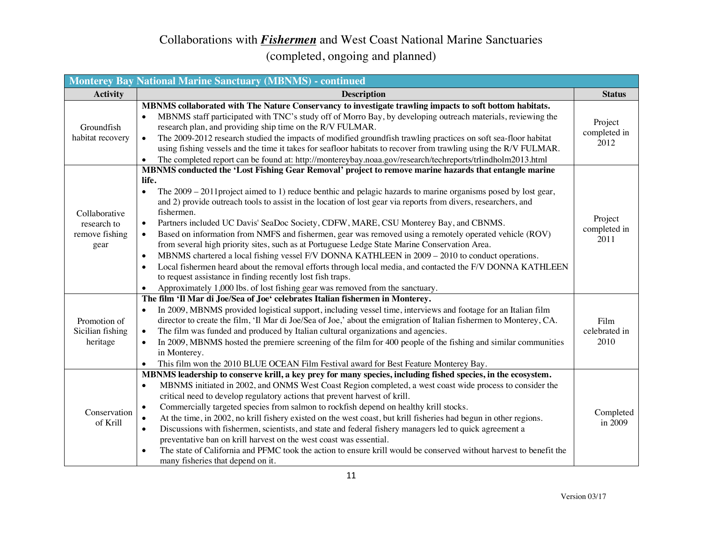| <b>Monterey Bay National Marine Sanctuary (MBNMS) - continued</b> |                                                                                                                                                                                                                                                                                                                                                                                                                                                                                                                                                                                                                                                                                                                                                                                                                                                                                                                                                                                                                                                                                                       |                                 |
|-------------------------------------------------------------------|-------------------------------------------------------------------------------------------------------------------------------------------------------------------------------------------------------------------------------------------------------------------------------------------------------------------------------------------------------------------------------------------------------------------------------------------------------------------------------------------------------------------------------------------------------------------------------------------------------------------------------------------------------------------------------------------------------------------------------------------------------------------------------------------------------------------------------------------------------------------------------------------------------------------------------------------------------------------------------------------------------------------------------------------------------------------------------------------------------|---------------------------------|
| <b>Activity</b>                                                   | <b>Description</b>                                                                                                                                                                                                                                                                                                                                                                                                                                                                                                                                                                                                                                                                                                                                                                                                                                                                                                                                                                                                                                                                                    | <b>Status</b>                   |
| Groundfish<br>habitat recovery                                    | MBNMS collaborated with The Nature Conservancy to investigate trawling impacts to soft bottom habitats.<br>MBNMS staff participated with TNC's study off of Morro Bay, by developing outreach materials, reviewing the<br>research plan, and providing ship time on the R/V FULMAR.<br>The 2009-2012 research studied the impacts of modified groundfish trawling practices on soft sea-floor habitat<br>$\bullet$<br>using fishing vessels and the time it takes for seafloor habitats to recover from trawling using the R/V FULMAR.<br>The completed report can be found at: http://montereybay.noaa.gov/research/techreports/trlindholm2013.html<br>$\bullet$                                                                                                                                                                                                                                                                                                                                                                                                                                     | Project<br>completed in<br>2012 |
| Collaborative<br>research to<br>remove fishing<br>gear            | MBNMS conducted the 'Lost Fishing Gear Removal' project to remove marine hazards that entangle marine<br>life.<br>The $2009 - 2011$ project aimed to 1) reduce benthic and pelagic hazards to marine organisms posed by lost gear,<br>$\bullet$<br>and 2) provide outreach tools to assist in the location of lost gear via reports from divers, researchers, and<br>fishermen.<br>Partners included UC Davis' SeaDoc Society, CDFW, MARE, CSU Monterey Bay, and CBNMS.<br>$\bullet$<br>Based on information from NMFS and fishermen, gear was removed using a remotely operated vehicle (ROV)<br>$\bullet$<br>from several high priority sites, such as at Portuguese Ledge State Marine Conservation Area.<br>MBNMS chartered a local fishing vessel F/V DONNA KATHLEEN in 2009 – 2010 to conduct operations.<br>$\bullet$<br>Local fishermen heard about the removal efforts through local media, and contacted the F/V DONNA KATHLEEN<br>$\bullet$<br>to request assistance in finding recently lost fish traps.<br>Approximately 1,000 lbs. of lost fishing gear was removed from the sanctuary. | Project<br>completed in<br>2011 |
| Promotion of<br>Sicilian fishing<br>heritage                      | The film 'Il Mar di Joe/Sea of Joe' celebrates Italian fishermen in Monterey.<br>In 2009, MBNMS provided logistical support, including vessel time, interviews and footage for an Italian film<br>director to create the film, 'Il Mar di Joe/Sea of Joe,' about the emigration of Italian fishermen to Monterey, CA.<br>The film was funded and produced by Italian cultural organizations and agencies.<br>$\bullet$<br>In 2009, MBNMS hosted the premiere screening of the film for 400 people of the fishing and similar communities<br>$\bullet$<br>in Monterey.<br>This film won the 2010 BLUE OCEAN Film Festival award for Best Feature Monterey Bay.<br>$\bullet$                                                                                                                                                                                                                                                                                                                                                                                                                            | Film<br>celebrated in<br>2010   |
| Conservation<br>of Krill                                          | MBNMS leadership to conserve krill, a key prey for many species, including fished species, in the ecosystem.<br>MBNMS initiated in 2002, and ONMS West Coast Region completed, a west coast wide process to consider the<br>$\bullet$<br>critical need to develop regulatory actions that prevent harvest of krill.<br>Commercially targeted species from salmon to rockfish depend on healthy krill stocks.<br>$\bullet$<br>At the time, in 2002, no krill fishery existed on the west coast, but krill fisheries had begun in other regions.<br>$\bullet$<br>Discussions with fishermen, scientists, and state and federal fishery managers led to quick agreement a<br>$\bullet$<br>preventative ban on krill harvest on the west coast was essential.<br>The state of California and PFMC took the action to ensure krill would be conserved without harvest to benefit the<br>$\bullet$<br>many fisheries that depend on it.                                                                                                                                                                     | Completed<br>in 2009            |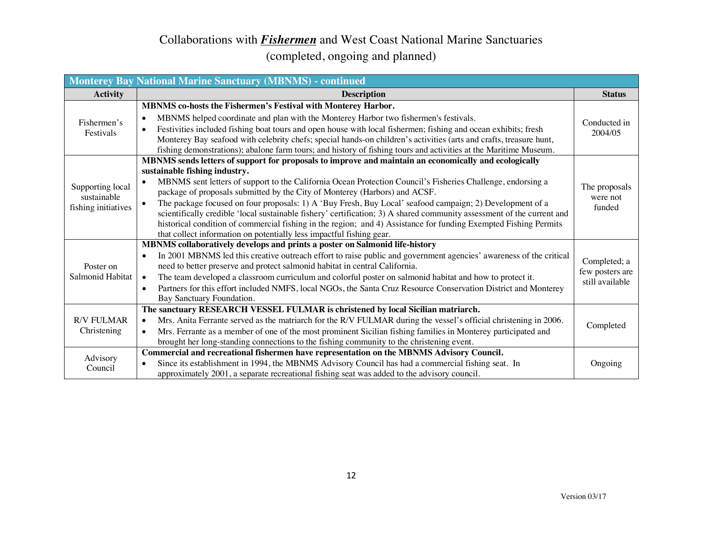| <b>Monterey Bay National Marine Sanctuary (MBNMS) - continued</b> |                                                                                                                                 |                 |
|-------------------------------------------------------------------|---------------------------------------------------------------------------------------------------------------------------------|-----------------|
| <b>Activity</b>                                                   | <b>Description</b>                                                                                                              | <b>Status</b>   |
|                                                                   | MBNMS co-hosts the Fishermen's Festival with Monterey Harbor.                                                                   |                 |
| Fishermen's                                                       | MBNMS helped coordinate and plan with the Monterey Harbor two fishermen's festivals.<br>$\bullet$                               | Conducted in    |
| Festivals                                                         | Festivities included fishing boat tours and open house with local fishermen; fishing and ocean exhibits; fresh<br>$\bullet$     | 2004/05         |
|                                                                   | Monterey Bay seafood with celebrity chefs; special hands-on children's activities (arts and crafts, treasure hunt,              |                 |
|                                                                   | fishing demonstrations); abalone farm tours; and history of fishing tours and activities at the Maritime Museum.                |                 |
|                                                                   | MBNMS sends letters of support for proposals to improve and maintain an economically and ecologically                           |                 |
|                                                                   | sustainable fishing industry.                                                                                                   |                 |
| Supporting local                                                  | MBNMS sent letters of support to the California Ocean Protection Council's Fisheries Challenge, endorsing a<br>$\bullet$        | The proposals   |
| sustainable                                                       | package of proposals submitted by the City of Monterey (Harbors) and ACSF.                                                      | were not        |
| fishing initiatives                                               | The package focused on four proposals: 1) A 'Buy Fresh, Buy Local' seafood campaign; 2) Development of a<br>$\bullet$           | funded          |
|                                                                   | scientifically credible 'local sustainable fishery' certification; 3) A shared community assessment of the current and          |                 |
|                                                                   | historical condition of commercial fishing in the region; and 4) Assistance for funding Exempted Fishing Permits                |                 |
|                                                                   | that collect information on potentially less impactful fishing gear.                                                            |                 |
|                                                                   | MBNMS collaboratively develops and prints a poster on Salmonid life-history                                                     |                 |
|                                                                   | In 2001 MBNMS led this creative outreach effort to raise public and government agencies' awareness of the critical<br>$\bullet$ | Completed; a    |
| Poster on                                                         | need to better preserve and protect salmonid habitat in central California.                                                     | few posters are |
| Salmonid Habitat                                                  | The team developed a classroom curriculum and colorful poster on salmonid habitat and how to protect it.<br>$\bullet$           | still available |
|                                                                   | Partners for this effort included NMFS, local NGOs, the Santa Cruz Resource Conservation District and Monterey<br>$\bullet$     |                 |
|                                                                   | Bay Sanctuary Foundation.                                                                                                       |                 |
|                                                                   | The sanctuary RESEARCH VESSEL FULMAR is christened by local Sicilian matriarch.                                                 |                 |
| <b>R/V FULMAR</b><br>Christening                                  | Mrs. Anita Ferrante served as the matriarch for the R/V FULMAR during the vessel's official christening in 2006.<br>$\bullet$   | Completed       |
|                                                                   | Mrs. Ferrante as a member of one of the most prominent Sicilian fishing families in Monterey participated and<br>$\bullet$      |                 |
|                                                                   | brought her long-standing connections to the fishing community to the christening event.                                        |                 |
| Advisory                                                          | Commercial and recreational fishermen have representation on the MBNMS Advisory Council.                                        |                 |
| Council                                                           | Since its establishment in 1994, the MBNMS Advisory Council has had a commercial fishing seat. In<br>$\bullet$                  | Ongoing         |
|                                                                   | approximately 2001, a separate recreational fishing seat was added to the advisory council.                                     |                 |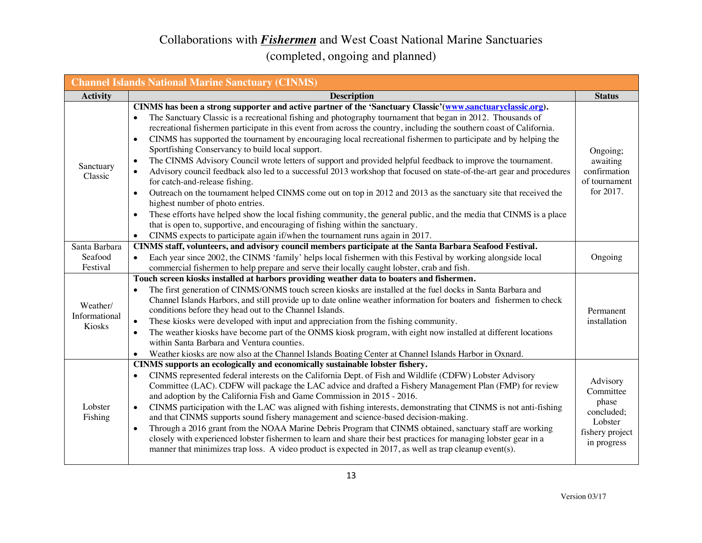| <b>Channel Islands National Marine Sanctuary (CINMS)</b> |                                                                                                                                                                                                                                                                                                                                                                                                                                                                                                                                                                                                                                                                                                                                                                                                                                                                                                                                                                                                                                                                                                                                                                                                                                                                                                            |                                                                                           |  |  |
|----------------------------------------------------------|------------------------------------------------------------------------------------------------------------------------------------------------------------------------------------------------------------------------------------------------------------------------------------------------------------------------------------------------------------------------------------------------------------------------------------------------------------------------------------------------------------------------------------------------------------------------------------------------------------------------------------------------------------------------------------------------------------------------------------------------------------------------------------------------------------------------------------------------------------------------------------------------------------------------------------------------------------------------------------------------------------------------------------------------------------------------------------------------------------------------------------------------------------------------------------------------------------------------------------------------------------------------------------------------------------|-------------------------------------------------------------------------------------------|--|--|
| <b>Activity</b>                                          | <b>Description</b>                                                                                                                                                                                                                                                                                                                                                                                                                                                                                                                                                                                                                                                                                                                                                                                                                                                                                                                                                                                                                                                                                                                                                                                                                                                                                         | <b>Status</b>                                                                             |  |  |
| Sanctuary<br>Classic                                     | CINMS has been a strong supporter and active partner of the 'Sanctuary Classic'(www.sanctuaryclassic.org).<br>The Sanctuary Classic is a recreational fishing and photography tournament that began in 2012. Thousands of<br>$\bullet$<br>recreational fishermen participate in this event from across the country, including the southern coast of California.<br>CINMS has supported the tournament by encouraging local recreational fishermen to participate and by helping the<br>$\bullet$<br>Sportfishing Conservancy to build local support.<br>The CINMS Advisory Council wrote letters of support and provided helpful feedback to improve the tournament.<br>$\bullet$<br>Advisory council feedback also led to a successful 2013 workshop that focused on state-of-the-art gear and procedures<br>$\bullet$<br>for catch-and-release fishing.<br>Outreach on the tournament helped CINMS come out on top in 2012 and 2013 as the sanctuary site that received the<br>highest number of photo entries.<br>These efforts have helped show the local fishing community, the general public, and the media that CINMS is a place<br>that is open to, supportive, and encouraging of fishing within the sanctuary.<br>CINMS expects to participate again if/when the tournament runs again in 2017. | Ongoing;<br>awaiting<br>confirmation<br>of tournament<br>for 2017.                        |  |  |
| Santa Barbara                                            | CINMS staff, volunteers, and advisory council members participate at the Santa Barbara Seafood Festival.                                                                                                                                                                                                                                                                                                                                                                                                                                                                                                                                                                                                                                                                                                                                                                                                                                                                                                                                                                                                                                                                                                                                                                                                   |                                                                                           |  |  |
| Seafood<br>Festival                                      | Each year since 2002, the CINMS 'family' helps local fishermen with this Festival by working alongside local<br>commercial fishermen to help prepare and serve their locally caught lobster, crab and fish.                                                                                                                                                                                                                                                                                                                                                                                                                                                                                                                                                                                                                                                                                                                                                                                                                                                                                                                                                                                                                                                                                                | Ongoing                                                                                   |  |  |
| Weather/<br>Informational<br>Kiosks                      | Touch screen kiosks installed at harbors providing weather data to boaters and fishermen.<br>The first generation of CINMS/ONMS touch screen kiosks are installed at the fuel docks in Santa Barbara and<br>$\bullet$<br>Channel Islands Harbors, and still provide up to date online weather information for boaters and fishermen to check<br>conditions before they head out to the Channel Islands.<br>These kiosks were developed with input and appreciation from the fishing community.<br>$\bullet$<br>The weather kiosks have become part of the ONMS kiosk program, with eight now installed at different locations<br>$\bullet$<br>within Santa Barbara and Ventura counties.<br>Weather kiosks are now also at the Channel Islands Boating Center at Channel Islands Harbor in Oxnard.                                                                                                                                                                                                                                                                                                                                                                                                                                                                                                         | Permanent<br>installation                                                                 |  |  |
| Lobster<br>Fishing                                       | CINMS supports an ecologically and economically sustainable lobster fishery.<br>CINMS represented federal interests on the California Dept. of Fish and Wildlife (CDFW) Lobster Advisory<br>$\bullet$<br>Committee (LAC). CDFW will package the LAC advice and drafted a Fishery Management Plan (FMP) for review<br>and adoption by the California Fish and Game Commission in 2015 - 2016.<br>CINMS participation with the LAC was aligned with fishing interests, demonstrating that CINMS is not anti-fishing<br>$\bullet$<br>and that CINMS supports sound fishery management and science-based decision-making.<br>Through a 2016 grant from the NOAA Marine Debris Program that CINMS obtained, sanctuary staff are working<br>$\bullet$<br>closely with experienced lobster fishermen to learn and share their best practices for managing lobster gear in a<br>manner that minimizes trap loss. A video product is expected in 2017, as well as trap cleanup event(s).                                                                                                                                                                                                                                                                                                                            | Advisory<br>Committee<br>phase<br>concluded;<br>Lobster<br>fishery project<br>in progress |  |  |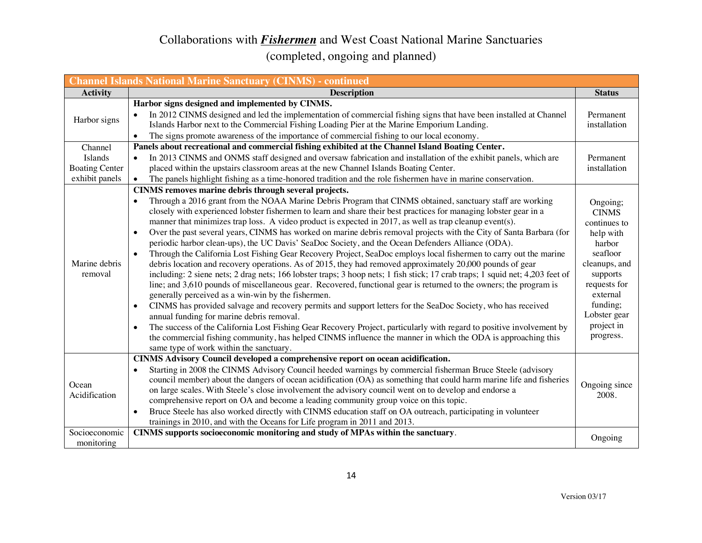| <b>Channel Islands National Marine Sanctuary (CINMS) - continued</b> |                                                                                                                                                                                                                                                                                                                                                                                                                                                                                                                                                                                                                                                                                                                                                                                                                                                                                                                                                                                                                                                                                                                                                                                                                                                                                                                                                                                                                                                                                                                                                                                                                                                                                                 |                                                                                                                                                                                             |  |
|----------------------------------------------------------------------|-------------------------------------------------------------------------------------------------------------------------------------------------------------------------------------------------------------------------------------------------------------------------------------------------------------------------------------------------------------------------------------------------------------------------------------------------------------------------------------------------------------------------------------------------------------------------------------------------------------------------------------------------------------------------------------------------------------------------------------------------------------------------------------------------------------------------------------------------------------------------------------------------------------------------------------------------------------------------------------------------------------------------------------------------------------------------------------------------------------------------------------------------------------------------------------------------------------------------------------------------------------------------------------------------------------------------------------------------------------------------------------------------------------------------------------------------------------------------------------------------------------------------------------------------------------------------------------------------------------------------------------------------------------------------------------------------|---------------------------------------------------------------------------------------------------------------------------------------------------------------------------------------------|--|
| <b>Activity</b>                                                      | <b>Description</b>                                                                                                                                                                                                                                                                                                                                                                                                                                                                                                                                                                                                                                                                                                                                                                                                                                                                                                                                                                                                                                                                                                                                                                                                                                                                                                                                                                                                                                                                                                                                                                                                                                                                              | <b>Status</b>                                                                                                                                                                               |  |
| Harbor signs                                                         | Harbor signs designed and implemented by CINMS.<br>In 2012 CINMS designed and led the implementation of commercial fishing signs that have been installed at Channel<br>Islands Harbor next to the Commercial Fishing Loading Pier at the Marine Emporium Landing.<br>The signs promote awareness of the importance of commercial fishing to our local economy.<br>$\bullet$                                                                                                                                                                                                                                                                                                                                                                                                                                                                                                                                                                                                                                                                                                                                                                                                                                                                                                                                                                                                                                                                                                                                                                                                                                                                                                                    | Permanent<br>installation                                                                                                                                                                   |  |
| Channel<br>Islands<br><b>Boating Center</b><br>exhibit panels        | Panels about recreational and commercial fishing exhibited at the Channel Island Boating Center.<br>In 2013 CINMS and ONMS staff designed and oversaw fabrication and installation of the exhibit panels, which are<br>$\bullet$<br>placed within the upstairs classroom areas at the new Channel Islands Boating Center.<br>The panels highlight fishing as a time-honored tradition and the role fishermen have in marine conservation.                                                                                                                                                                                                                                                                                                                                                                                                                                                                                                                                                                                                                                                                                                                                                                                                                                                                                                                                                                                                                                                                                                                                                                                                                                                       | Permanent<br>installation                                                                                                                                                                   |  |
| Marine debris<br>removal                                             | CINMS removes marine debris through several projects.<br>Through a 2016 grant from the NOAA Marine Debris Program that CINMS obtained, sanctuary staff are working<br>$\bullet$<br>closely with experienced lobster fishermen to learn and share their best practices for managing lobster gear in a<br>manner that minimizes trap loss. A video product is expected in 2017, as well as trap cleanup event(s).<br>Over the past several years, CINMS has worked on marine debris removal projects with the City of Santa Barbara (for<br>$\bullet$<br>periodic harbor clean-ups), the UC Davis' SeaDoc Society, and the Ocean Defenders Alliance (ODA).<br>Through the California Lost Fishing Gear Recovery Project, SeaDoc employs local fishermen to carry out the marine<br>$\bullet$<br>debris location and recovery operations. As of 2015, they had removed approximately 20,000 pounds of gear<br>including: 2 siene nets; 2 drag nets; 166 lobster traps; 3 hoop nets; 1 fish stick; 17 crab traps; 1 squid net; 4,203 feet of<br>line; and 3,610 pounds of miscellaneous gear. Recovered, functional gear is returned to the owners; the program is<br>generally perceived as a win-win by the fishermen.<br>CINMS has provided salvage and recovery permits and support letters for the SeaDoc Society, who has received<br>$\bullet$<br>annual funding for marine debris removal.<br>The success of the California Lost Fishing Gear Recovery Project, particularly with regard to positive involvement by<br>$\bullet$<br>the commercial fishing community, has helped CINMS influence the manner in which the ODA is approaching this<br>same type of work within the sanctuary. | Ongoing;<br><b>CINMS</b><br>continues to<br>help with<br>harbor<br>seafloor<br>cleanups, and<br>supports<br>requests for<br>external<br>funding;<br>Lobster gear<br>project in<br>progress. |  |
| Ocean<br>Acidification                                               | CINMS Advisory Council developed a comprehensive report on ocean acidification.<br>Starting in 2008 the CINMS Advisory Council heeded warnings by commercial fisherman Bruce Steele (advisory<br>$\bullet$<br>council member) about the dangers of ocean acidification (OA) as something that could harm marine life and fisheries<br>on large scales. With Steele's close involvement the advisory council went on to develop and endorse a<br>comprehensive report on OA and become a leading community group voice on this topic.<br>Bruce Steele has also worked directly with CINMS education staff on OA outreach, participating in volunteer<br>$\bullet$<br>trainings in 2010, and with the Oceans for Life program in 2011 and 2013.                                                                                                                                                                                                                                                                                                                                                                                                                                                                                                                                                                                                                                                                                                                                                                                                                                                                                                                                                   | Ongoing since<br>2008.                                                                                                                                                                      |  |
| Socioeconomic<br>monitoring                                          | CINMS supports socioeconomic monitoring and study of MPAs within the sanctuary.                                                                                                                                                                                                                                                                                                                                                                                                                                                                                                                                                                                                                                                                                                                                                                                                                                                                                                                                                                                                                                                                                                                                                                                                                                                                                                                                                                                                                                                                                                                                                                                                                 | Ongoing                                                                                                                                                                                     |  |